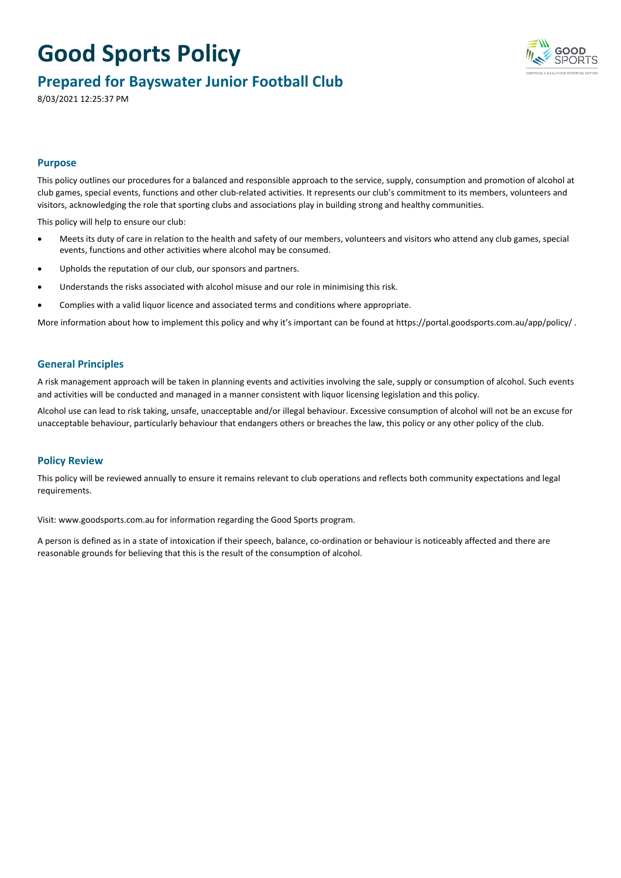

### **Prepared for Bayswater Junior Football Club**

8/03/2021 12:25:37 PM

#### **Purpose**

This policy outlines our procedures for a balanced and responsible approach to the service, supply, consumption and promotion of alcohol at club games, special events, functions and other club-related activities. It represents our club's commitment to its members, volunteers and visitors, acknowledging the role that sporting clubs and associations play in building strong and healthy communities.

This policy will help to ensure our club:

- Meets its duty of care in relation to the health and safety of our members, volunteers and visitors who attend any club games, special events, functions and other activities where alcohol may be consumed.
- Upholds the reputation of our club, our sponsors and partners.
- Understands the risks associated with alcohol misuse and our role in minimising this risk.
- Complies with a valid liquor licence and associated terms and conditions where appropriate.

More information about how to implement this policy and why it's important can be found at https://portal.goodsports.com.au/app/policy/ .

#### **General Principles**

A risk management approach will be taken in planning events and activities involving the sale, supply or consumption of alcohol. Such events and activities will be conducted and managed in a manner consistent with liquor licensing legislation and this policy.

Alcohol use can lead to risk taking, unsafe, unacceptable and/or illegal behaviour. Excessive consumption of alcohol will not be an excuse for unacceptable behaviour, particularly behaviour that endangers others or breaches the law, this policy or any other policy of the club.

#### **Policy Review**

This policy will be reviewed annually to ensure it remains relevant to club operations and reflects both community expectations and legal requirements.

Visit: [www.goodsports.com.au](http://www.goodsports.com.au) for information regarding the Good Sports program.

A person is defined as in a state of intoxication if their speech, balance, co-ordination or behaviour is noticeably affected and there are reasonable grounds for believing that this is the result of the consumption of alcohol.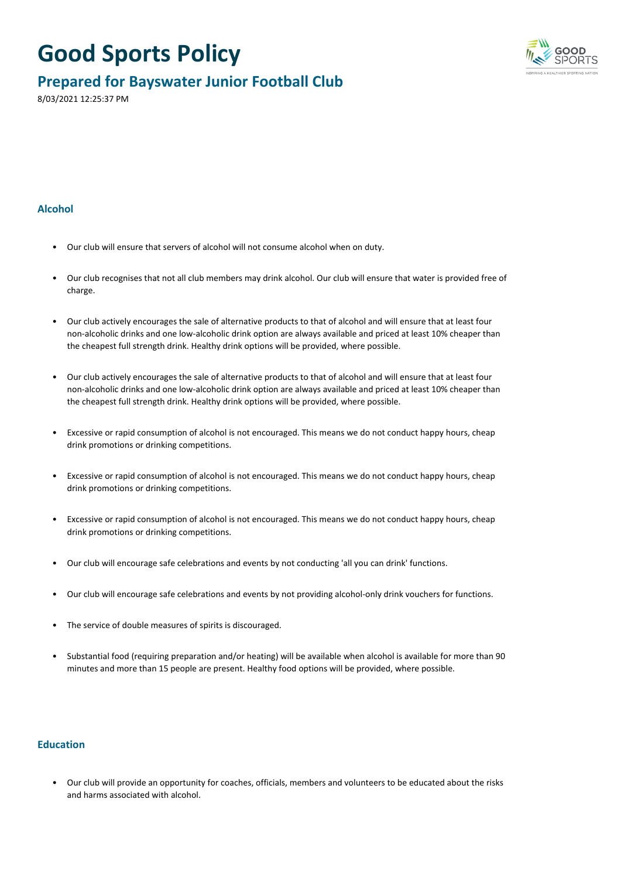

### **Prepared for Bayswater Junior Football Club**

8/03/2021 12:25:37 PM

#### **Alcohol**

- Our club will ensure that servers of alcohol will not consume alcohol when on duty.
- Our club recognises that not all club members may drink alcohol. Our club will ensure that water is provided free of charge.
- Our club actively encourages the sale of alternative products to that of alcohol and will ensure that at least four non-alcoholic drinks and one low-alcoholic drink option are always available and priced at least 10% cheaper than the cheapest full strength drink. Healthy drink options will be provided, where possible.
- Our club actively encourages the sale of alternative products to that of alcohol and will ensure that at least four non-alcoholic drinks and one low-alcoholic drink option are always available and priced at least 10% cheaper than the cheapest full strength drink. Healthy drink options will be provided, where possible.
- Excessive or rapid consumption of alcohol is not encouraged. This means we do not conduct happy hours, cheap drink promotions or drinking competitions.
- Excessive or rapid consumption of alcohol is not encouraged. This means we do not conduct happy hours, cheap drink promotions or drinking competitions.
- Excessive or rapid consumption of alcohol is not encouraged. This means we do not conduct happy hours, cheap drink promotions or drinking competitions.
- Our club will encourage safe celebrations and events by not conducting 'all you can drink' functions.
- Our club will encourage safe celebrations and events by not providing alcohol-only drink vouchers for functions.
- The service of double measures of spirits is discouraged.
- Substantial food (requiring preparation and/or heating) will be available when alcohol is available for more than 90 minutes and more than 15 people are present. Healthy food options will be provided, where possible.

#### **Education**

• Our club will provide an opportunity for coaches, officials, members and volunteers to be educated about the risks and harms associated with alcohol.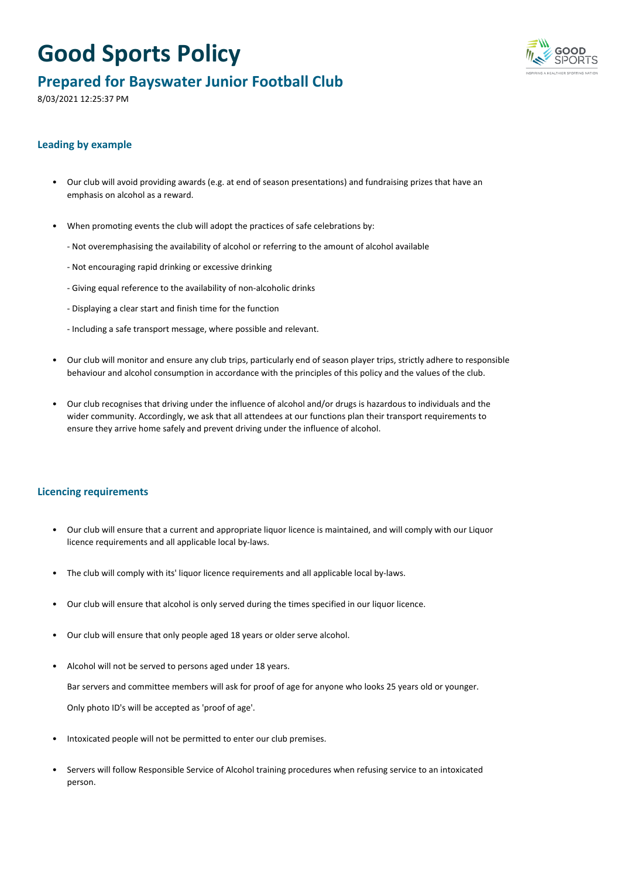

### **Prepared for Bayswater Junior Football Club**

8/03/2021 12:25:37 PM

#### **Leading by example**

- Our club will avoid providing awards (e.g. at end of season presentations) and fundraising prizes that have an emphasis on alcohol as a reward.
- When promoting events the club will adopt the practices of safe celebrations by:
	- Not overemphasising the availability of alcohol or referring to the amount of alcohol available
	- Not encouraging rapid drinking or excessive drinking
	- Giving equal reference to the availability of non-alcoholic drinks
	- Displaying a clear start and finish time for the function
	- Including a safe transport message, where possible and relevant.
- Our club will monitor and ensure any club trips, particularly end of season player trips, strictly adhere to responsible behaviour and alcohol consumption in accordance with the principles of this policy and the values of the club.
- Our club recognises that driving under the influence of alcohol and/or drugs is hazardous to individuals and the wider community. Accordingly, we ask that all attendees at our functions plan their transport requirements to ensure they arrive home safely and prevent driving under the influence of alcohol.

#### **Licencing requirements**

- Our club will ensure that a current and appropriate liquor licence is maintained, and will comply with our Liquor licence requirements and all applicable local by-laws.
- The club will comply with its' liquor licence requirements and all applicable local by-laws.
- Our club will ensure that alcohol is only served during the times specified in our liquor licence.
- Our club will ensure that only people aged 18 years or older serve alcohol.
- Alcohol will not be served to persons aged under 18 years.

Bar servers and committee members will ask for proof of age for anyone who looks 25 years old or younger. Only photo ID's will be accepted as 'proof of age'.

- Intoxicated people will not be permitted to enter our club premises.
- Servers will follow Responsible Service of Alcohol training procedures when refusing service to an intoxicated person.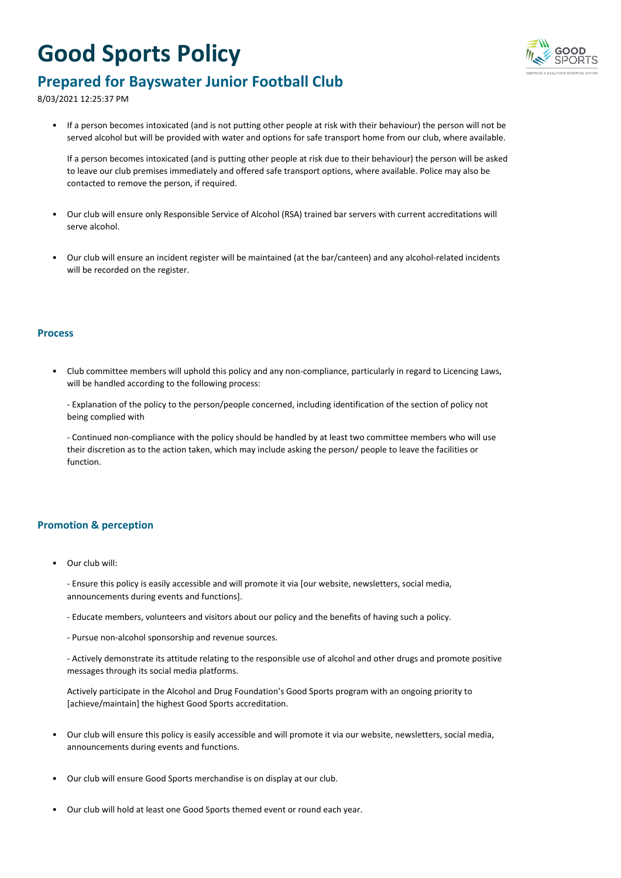

### **Prepared for Bayswater Junior Football Club**

8/03/2021 12:25:37 PM

• If a person becomes intoxicated (and is not putting other people at risk with their behaviour) the person will not be served alcohol but will be provided with water and options for safe transport home from our club, where available.

If a person becomes intoxicated (and is putting other people at risk due to their behaviour) the person will be asked to leave our club premises immediately and offered safe transport options, where available. Police may also be contacted to remove the person, if required.

- Our club will ensure only Responsible Service of Alcohol (RSA) trained bar servers with current accreditations will serve alcohol.
- Our club will ensure an incident register will be maintained (at the bar/canteen) and any alcohol-related incidents will be recorded on the register.

#### **Process**

• Club committee members will uphold this policy and any non-compliance, particularly in regard to Licencing Laws, will be handled according to the following process:

- Explanation of the policy to the person/people concerned, including identification of the section of policy not being complied with

- Continued non-compliance with the policy should be handled by at least two committee members who will use their discretion as to the action taken, which may include asking the person/ people to leave the facilities or function.

#### **Promotion & perception**

• Our club will:

- Ensure this policy is easily accessible and will promote it via [our website, newsletters, social media, announcements during events and functions].

- Educate members, volunteers and visitors about our policy and the benefits of having such a policy.
- Pursue non-alcohol sponsorship and revenue sources.

- Actively demonstrate its attitude relating to the responsible use of alcohol and other drugs and promote positive messages through its social media platforms.

Actively participate in the Alcohol and Drug Foundation's Good Sports program with an ongoing priority to [achieve/maintain] the highest Good Sports accreditation.

- Our club will ensure this policy is easily accessible and will promote it via our website, newsletters, social media, announcements during events and functions.
- Our club will ensure Good Sports merchandise is on display at our club.
- Our club will hold at least one Good Sports themed event or round each year.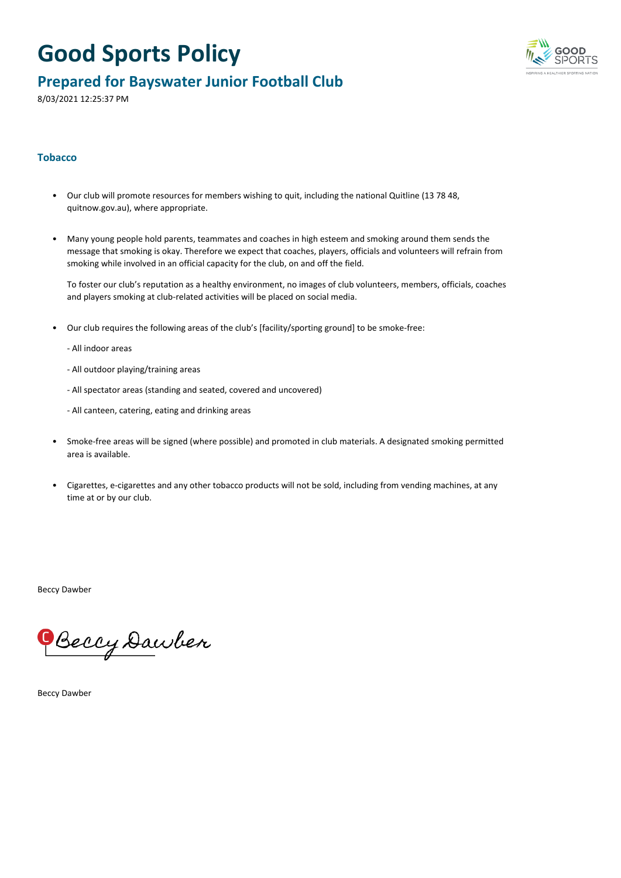

### **Prepared for Bayswater Junior Football Club**

8/03/2021 12:25:37 PM

#### **Tobacco**

- Our club will promote resources for members wishing to quit, including the national Quitline (13 78 48, quitnow.gov.au), where appropriate.
- Many young people hold parents, teammates and coaches in high esteem and smoking around them sends the message that smoking is okay. Therefore we expect that coaches, players, officials and volunteers will refrain from smoking while involved in an official capacity for the club, on and off the field.

To foster our club's reputation as a healthy environment, no images of club volunteers, members, officials, coaches and players smoking at club-related activities will be placed on social media.

- Our club requires the following areas of the club's [facility/sporting ground] to be smoke-free:
	- All indoor areas
	- All outdoor playing/training areas
	- All spectator areas (standing and seated, covered and uncovered)
	- All canteen, catering, eating and drinking areas
- Smoke-free areas will be signed (where possible) and promoted in club materials. A designated smoking permitted area is available.
- Cigarettes, e-cigarettes and any other tobacco products will not be sold, including from vending machines, at any time at or by our club.

Beccy Dawber

Beccy Dawber

Beccy Dawber